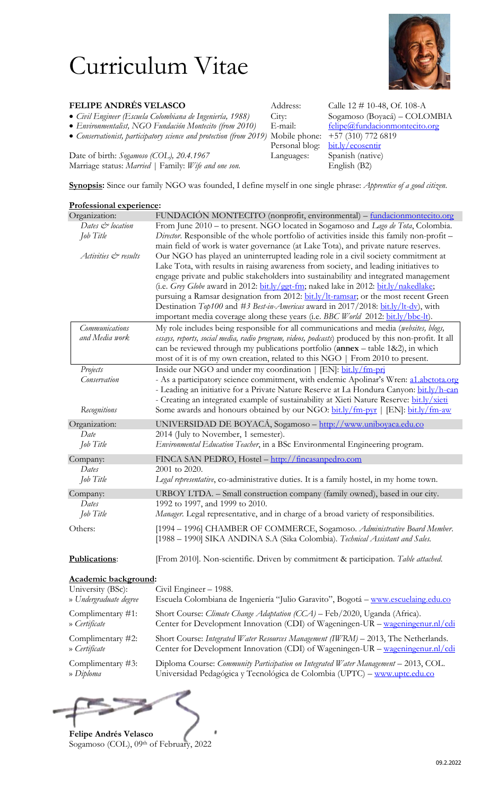## Curriculum Vitae



| <b>FELIPE ANDRÉS VELASCO</b>                                                                         | Address: | Calle $12 \# 10-48$ , Of. 108-A       |
|------------------------------------------------------------------------------------------------------|----------|---------------------------------------|
| • Civil Engineer (Escuela Colombiana de Ingeniería, 1988)                                            | Citv:    | Sogamoso (Boyacá) – COLOMBIA          |
| • Environmentalist, NGO Fundación Montecito (from 2010)                                              | E-mail:  | felipe@fundacionmontecito.org         |
| • Conservationist, participatory science and protection (from 2019) Mobile phone: +57 (310) 772 6819 |          |                                       |
|                                                                                                      |          | $Dosecond \,hloc$ $hit \,h/geosontie$ |

Date of birth: *Sogamoso (COL), 20.4.1967* Languages: Spanish (national Marriage status: *Married* | Family: *Wife and one son*. English (B2) Marriage status: Married | Family: Wife and one son.

 *Conservationist, participatory science and protection (from 2019)* Mobile phone: +57 (310) 772 6819 Personal blog: [bit.ly/ecosentir](http://bit.ly/ecosentir)<br>Languages: Spanish (native)

**Synopsis:** Since our family NGO was founded, I define myself in one single phrase: *Apprentice of a good citizen*.

| Professional experience:                                                                                                                                                                                                                                                                                                                              |                                                                                                                                                                                                                                                                                                                                                                                                                                   |  |  |
|-------------------------------------------------------------------------------------------------------------------------------------------------------------------------------------------------------------------------------------------------------------------------------------------------------------------------------------------------------|-----------------------------------------------------------------------------------------------------------------------------------------------------------------------------------------------------------------------------------------------------------------------------------------------------------------------------------------------------------------------------------------------------------------------------------|--|--|
| Organization:                                                                                                                                                                                                                                                                                                                                         | FUNDACIÓN MONTECITO (nonprofit, environmental) – fundacionmontecito.org                                                                                                                                                                                                                                                                                                                                                           |  |  |
| Dates & location                                                                                                                                                                                                                                                                                                                                      | From June 2010 – to present. NGO located in Sogamoso and Lago de Tota, Colombia.                                                                                                                                                                                                                                                                                                                                                  |  |  |
| Job Title                                                                                                                                                                                                                                                                                                                                             | Director. Responsible of the whole portfolio of activities inside this family non-profit -                                                                                                                                                                                                                                                                                                                                        |  |  |
| Activities & results                                                                                                                                                                                                                                                                                                                                  | main field of work is water governance (at Lake Tota), and private nature reserves.<br>Our NGO has played an uninterrupted leading role in a civil society commitment at<br>Lake Tota, with results in raising awareness from society, and leading initiatives to<br>engage private and public stakeholders into sustainability and integrated management                                                                         |  |  |
| (i.e. Grey Globe award in 2012: bit.ly/ggt-fm; naked lake in 2012: bit.ly/nakedlake;<br>pursuing a Ramsar designation from 2012: bit.ly/lt-ramsar; or the most recent Green<br>Destination Top100 and #3 Best-in-Americas award in 2017/2018: bit.ly/lt-dv), with<br>important media coverage along these years (i.e. BBC World 2012: bit.ly/bbc-lt). |                                                                                                                                                                                                                                                                                                                                                                                                                                   |  |  |
| <b>Communications</b><br>and Media work                                                                                                                                                                                                                                                                                                               | My role includes being responsible for all communications and media (websites, blogs,<br>essays, reports, social media, radio program, videos, podcasts) produced by this non-profit. It all<br>can be reviewed through my publications portfolio ( $annex$ – table 1&2), in which<br>most of it is of my own creation, related to this NGO   From 2010 to present.                                                               |  |  |
| Projects<br>Conservation<br>Recognitions                                                                                                                                                                                                                                                                                                              | Inside our NGO and under my coordination   [EN]: bit.ly/fm-pri<br>- As a participatory science commitment, with endemic Apolinar's Wren: al.abctota.org<br>- Leading an initiative for a Private Nature Reserve at La Hondura Canyon: bit.ly/h-can<br>- Creating an integrated example of sustainability at Xieti Nature Reserve: bit.ly/xieti<br>Some awards and honours obtained by our NGO: bit.ly/fm-pyr   [EN]: bit.ly/fm-aw |  |  |
|                                                                                                                                                                                                                                                                                                                                                       |                                                                                                                                                                                                                                                                                                                                                                                                                                   |  |  |
| Organization:                                                                                                                                                                                                                                                                                                                                         | UNIVERSIDAD DE BOYACÁ, Sogamoso - http://www.uniboyaca.edu.co                                                                                                                                                                                                                                                                                                                                                                     |  |  |
| Date<br>Job Title                                                                                                                                                                                                                                                                                                                                     | 2014 (July to November, 1 semester).<br>Environmental Education Teacher, in a BSc Environmental Engineering program.                                                                                                                                                                                                                                                                                                              |  |  |
| Company:                                                                                                                                                                                                                                                                                                                                              | FINCA SAN PEDRO, Hostel - http://fincasanpedro.com                                                                                                                                                                                                                                                                                                                                                                                |  |  |
| Dates<br>Job Title                                                                                                                                                                                                                                                                                                                                    | 2001 to 2020.<br>Legal representative, co-administrative duties. It is a family hostel, in my home town.                                                                                                                                                                                                                                                                                                                          |  |  |
| Company:<br>Dates<br>Job Title                                                                                                                                                                                                                                                                                                                        | URBOY LTDA. - Small construction company (family owned), based in our city.<br>1992 to 1997, and 1999 to 2010.<br>Manager. Legal representative, and in charge of a broad variety of responsibilities.                                                                                                                                                                                                                            |  |  |
| Others:<br>[1994 - 1996] CHAMBER OF COMMERCE, Sogamoso. Administrative Board Member.<br>[1988 – 1990] SIKA ANDINA S.A (Sika Colombia). Technical Assistant and Sales.                                                                                                                                                                                 |                                                                                                                                                                                                                                                                                                                                                                                                                                   |  |  |
| Publications:                                                                                                                                                                                                                                                                                                                                         | [From 2010]. Non-scientific. Driven by commitment & participation. Table attached.                                                                                                                                                                                                                                                                                                                                                |  |  |
| Academic background:                                                                                                                                                                                                                                                                                                                                  |                                                                                                                                                                                                                                                                                                                                                                                                                                   |  |  |
| University (BSc):<br>» Undergraduate degree                                                                                                                                                                                                                                                                                                           | Civil Engineer - 1988.<br>Escuela Colombiana de Ingeniería "Julio Garavito", Bogotá – www.escuelaing.edu.co                                                                                                                                                                                                                                                                                                                       |  |  |
| Complimentary #1:<br>» Certificate                                                                                                                                                                                                                                                                                                                    | Short Course: <i>Climate Change Adaptation (CCA)</i> – Feb/2020, Uganda (Africa).<br>Center for Development Innovation (CDI) of Wageningen-UR - wageningenur.nl/cdi                                                                                                                                                                                                                                                               |  |  |
| Complimentary #2:<br>» Certificate                                                                                                                                                                                                                                                                                                                    | Short Course: Integrated Water Resources Management (IWRM) - 2013, The Netherlands.<br>Center for Development Innovation (CDI) of Wageningen-UR – wageningenur.nl/cdi                                                                                                                                                                                                                                                             |  |  |
| Complimentary $#3$ :<br>» Diploma                                                                                                                                                                                                                                                                                                                     | Diploma Course: <i>Community Participation on Integrated Water Management</i> – 2013, COL.<br>Universidad Pedagógica y Tecnológica de Colombia (UPTC) - www.uptc.edu.co                                                                                                                                                                                                                                                           |  |  |
|                                                                                                                                                                                                                                                                                                                                                       |                                                                                                                                                                                                                                                                                                                                                                                                                                   |  |  |



**Felipe Andrés Velasco** Sogamoso (COL), 09th of February, 2022